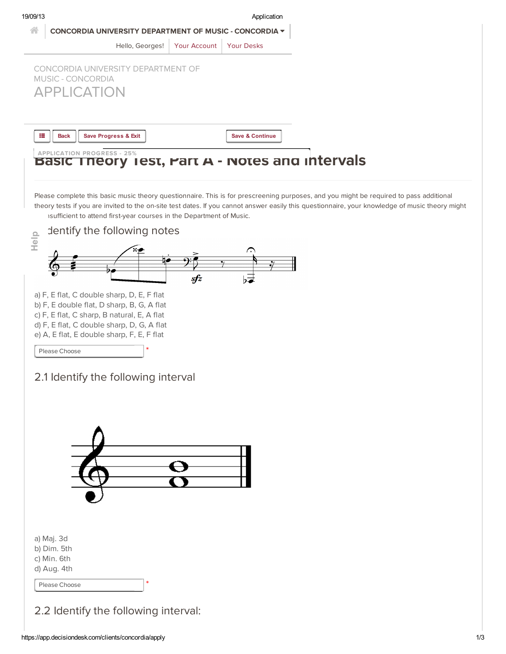19/09/13 Application

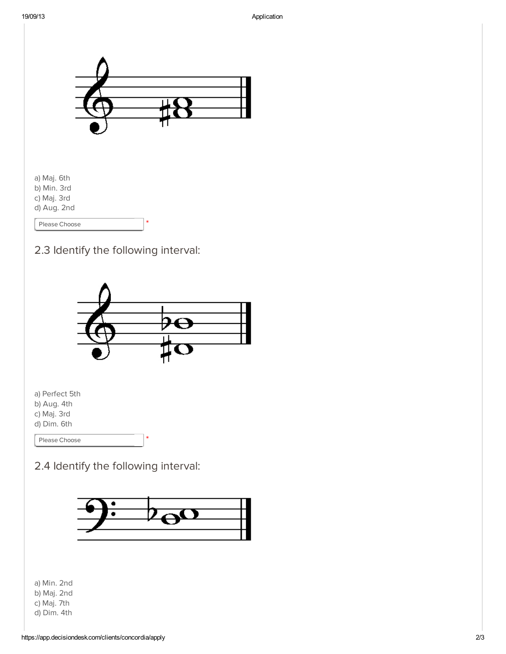



a) Perfect 5th b) Aug. 4th c) Maj. 3rd d) Dim. 6th

Please [Choose](javascript:void(0))

## 2.4 Identify the following interval:



\*

a) Min. 2nd b) Maj. 2nd c) Maj. 7th d) Dim. 4th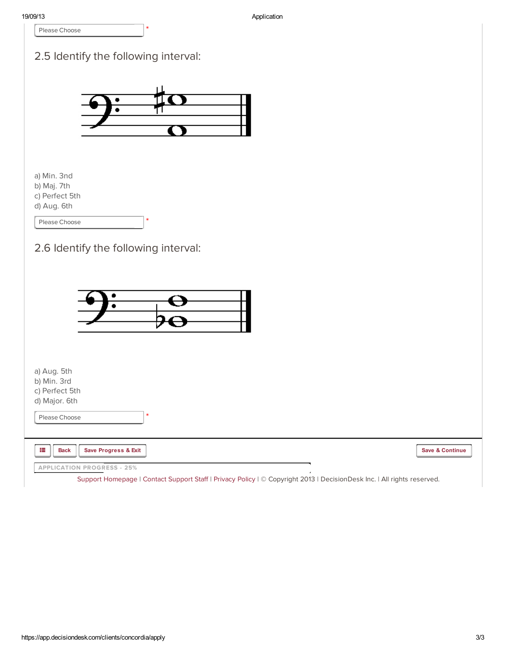|                                                               |                                      | Application |                            |
|---------------------------------------------------------------|--------------------------------------|-------------|----------------------------|
| Please Choose                                                 |                                      |             |                            |
|                                                               |                                      |             |                            |
|                                                               | 2.5 Identify the following interval: |             |                            |
|                                                               |                                      |             |                            |
|                                                               |                                      |             |                            |
|                                                               | ٠                                    |             |                            |
|                                                               |                                      |             |                            |
|                                                               |                                      |             |                            |
|                                                               |                                      |             |                            |
|                                                               |                                      |             |                            |
| a) Min. 3nd                                                   |                                      |             |                            |
| b) Maj. 7th                                                   |                                      |             |                            |
| c) Perfect 5th                                                |                                      |             |                            |
| d) Aug. 6th                                                   |                                      |             |                            |
| Please Choose                                                 |                                      |             |                            |
|                                                               |                                      |             |                            |
|                                                               | 2.6 Identify the following interval: |             |                            |
|                                                               |                                      |             |                            |
|                                                               |                                      |             |                            |
|                                                               |                                      |             |                            |
|                                                               |                                      |             |                            |
|                                                               |                                      |             |                            |
|                                                               |                                      |             |                            |
|                                                               |                                      |             |                            |
|                                                               |                                      |             |                            |
|                                                               |                                      |             |                            |
|                                                               |                                      |             |                            |
|                                                               |                                      |             |                            |
|                                                               |                                      |             |                            |
| a) Aug. 5th<br>b) Min. 3rd<br>c) Perfect 5th<br>d) Major. 6th |                                      |             |                            |
|                                                               | *                                    |             |                            |
|                                                               |                                      |             |                            |
| Please Choose<br>這<br>Save Progress & Exit<br><b>Back</b>     |                                      |             | <b>Save &amp; Continue</b> |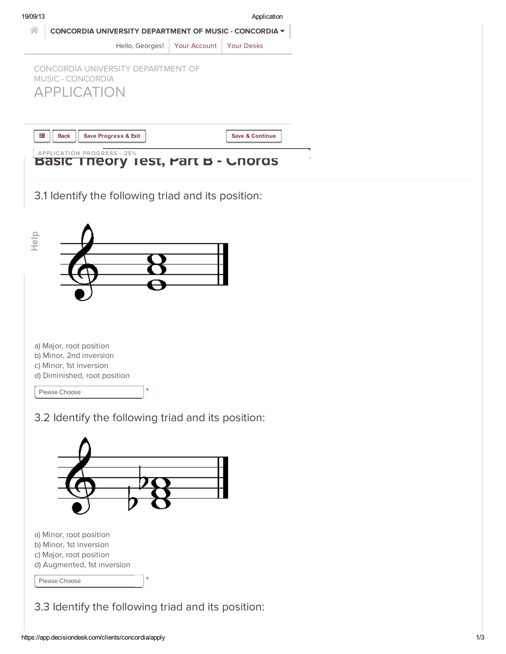| 19/09/13 | Application                                                                   |              |                            |  |  |
|----------|-------------------------------------------------------------------------------|--------------|----------------------------|--|--|
|          | CONCORDIA UNIVERSITY DEPARTMENT OF MUSIC - CONCORDIA $\blacktriangledown$     |              |                            |  |  |
|          | Hello, Georges!                                                               | Your Account | Your Desks                 |  |  |
|          | CONCORDIA UNIVERSITY DEPARTMENT OF<br>MUSIC - CONCORDIA<br><b>APPLICATION</b> |              |                            |  |  |
| 這        | <b>Save Progress &amp; Exit</b><br><b>Back</b>                                |              | <b>Save &amp; Continue</b> |  |  |
|          |                                                                               |              |                            |  |  |



3.1 Identify the following triad and its position:



3.2 Identify the following triad and its position:



d) Augmented, 1st inversion

Please [Choose](javascript:void(0))

3.3 Identify the following triad and its position:

\*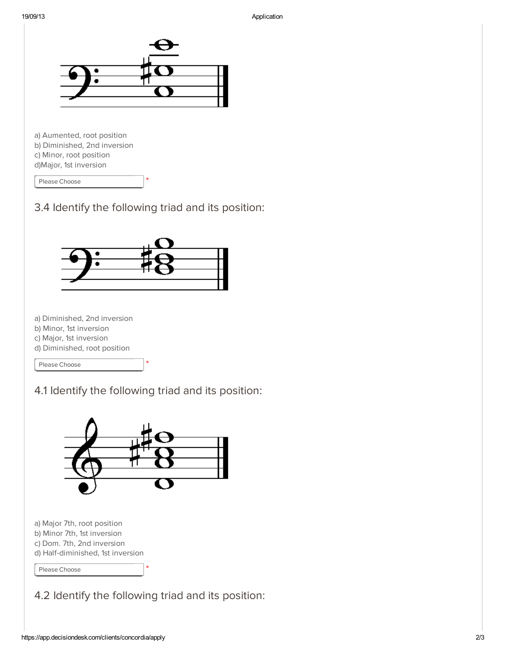

a) Aumented, root position b) Diminished, 2nd inversion c) Minor, root position d)Major, 1st inversion

Please [Choose](javascript:void(0))



\*



a) Diminished, 2nd inversion

- b) Minor, 1st inversion
- c) Major, 1st inversion
- d) Diminished, root position

Please [Choose](javascript:void(0))

4.1 Identify the following triad and its position:

\*



a) Major 7th, root position b) Minor 7th, 1st inversion c) Dom. 7th, 2nd inversion d) Half-diminished, 1st inversion

Please [Choose](javascript:void(0))

4.2 Identify the following triad and its position:

\*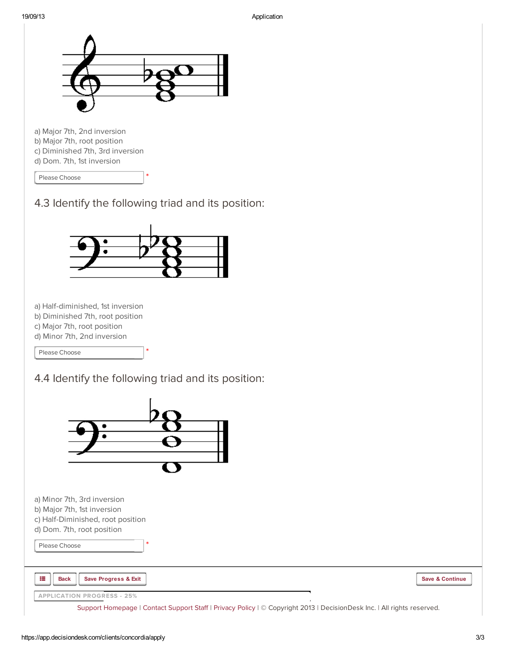

Please [Choose](javascript:void(0))





a) Half-diminished, 1st inversion

b) Diminished 7th, root position

c) Major 7th, root position

d) Minor 7th, 2nd inversion

Please [Choose](javascript:void(0))

4.4 Identify the following triad and its position:

\*



\*

a) Minor 7th, 3rd inversion b) Major 7th, 1st inversion c) Half-Diminished, root position

d) Dom. 7th, root position

Please [Choose](javascript:void(0))

疆

Back Save Progress & Exit Save Transaction of the Save & Continue Save & Continue

| <b>APPLICATION PROGRESS - 25%</b> |  |
|-----------------------------------|--|
|                                   |  |

Support [Homepage](http://support.decisiondesk.com/) | Contact [Support](mailto:support@decisiondesk.com) Staff | [Privacy](http://about.decisiondesk.com/privacy-policy) Policy | © Copyright 2013 | DecisionDesk Inc. | All rights reserved.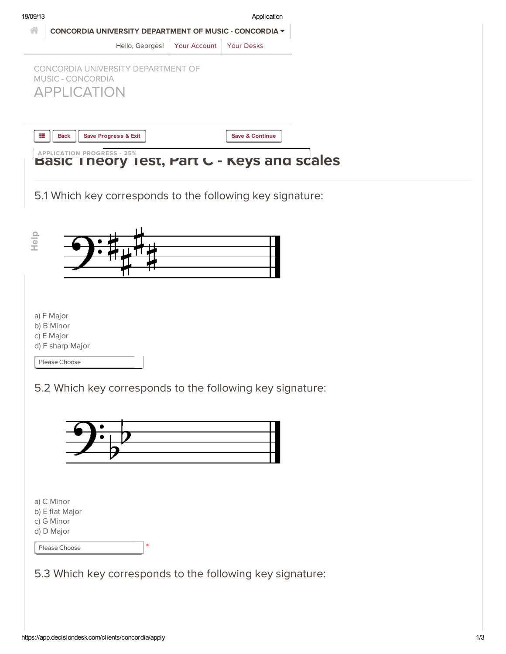| 19/09/13                                                    |              | Application                |  |
|-------------------------------------------------------------|--------------|----------------------------|--|
| 습<br>CONCORDIA UNIVERSITY DEPARTMENT OF MUSIC - CONCORDIA V |              |                            |  |
| Hello, Georges!                                             | Your Account | <b>Your Desks</b>          |  |
| CONCORDIA UNIVERSITY DEPARTMENT OF                          |              |                            |  |
| MUSIC - CONCORDIA                                           |              |                            |  |
| <b>APPLICATION</b>                                          |              |                            |  |
|                                                             |              |                            |  |
| 這<br>Save Progress & Exit<br><b>Back</b>                    |              | <b>Save &amp; Continue</b> |  |
| <b>APPLICATION PROGRESS - 25%</b>                           |              |                            |  |
| Theory Test, Part C - Keys and scales<br><b>Pasic</b>       |              |                            |  |
|                                                             |              |                            |  |
| 5.1 Which key corresponds to the following key signature:   |              |                            |  |
|                                                             |              |                            |  |
|                                                             |              |                            |  |
| Help                                                        |              |                            |  |
|                                                             |              |                            |  |
|                                                             |              |                            |  |
|                                                             |              |                            |  |
| a) F Major                                                  |              |                            |  |
| b) B Minor<br>c) E Major                                    |              |                            |  |
| d) F sharp Major                                            |              |                            |  |
| Please Choose                                               |              |                            |  |
|                                                             |              |                            |  |
| 5.2 Which key corresponds to the following key signature:   |              |                            |  |
|                                                             |              |                            |  |
|                                                             |              |                            |  |
|                                                             |              |                            |  |
|                                                             |              |                            |  |
|                                                             |              |                            |  |
|                                                             |              |                            |  |
|                                                             |              |                            |  |
| a) C Minor<br>b) E flat Major                               |              |                            |  |
| c) G Minor                                                  |              |                            |  |
| d) D Major<br>$\ast$<br>Please Choose                       |              |                            |  |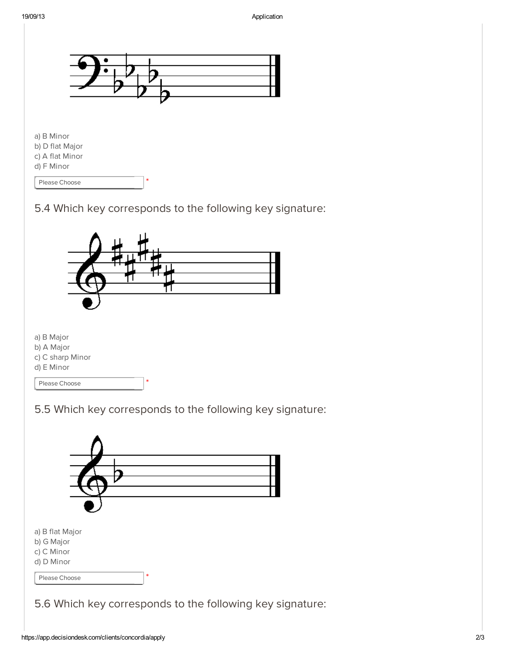

\*

d) F Minor

Please [Choose](javascript:void(0))





5.5 Which key corresponds to the following key signature:

| a) B flat Major<br>b) G Major<br>c) C Minor<br>d) D Minor |   |  |  |
|-----------------------------------------------------------|---|--|--|
| Please Choose                                             | * |  |  |
| 5.6 Which key corresponds to the following key signature: |   |  |  |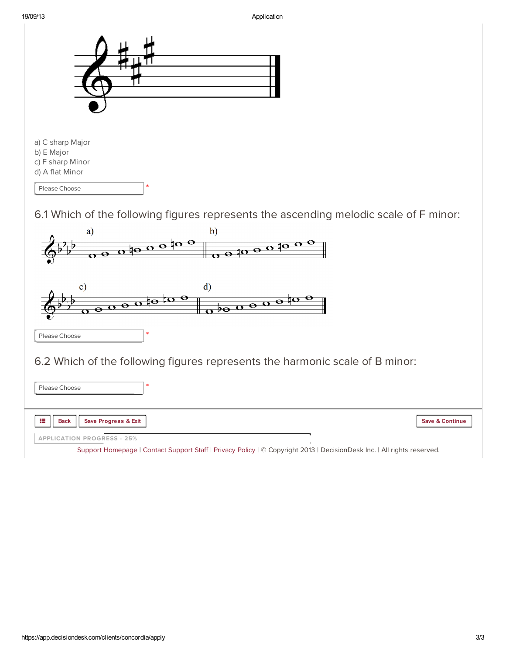

6.1 Which of the following figures represents the ascending melodic scale of F minor:

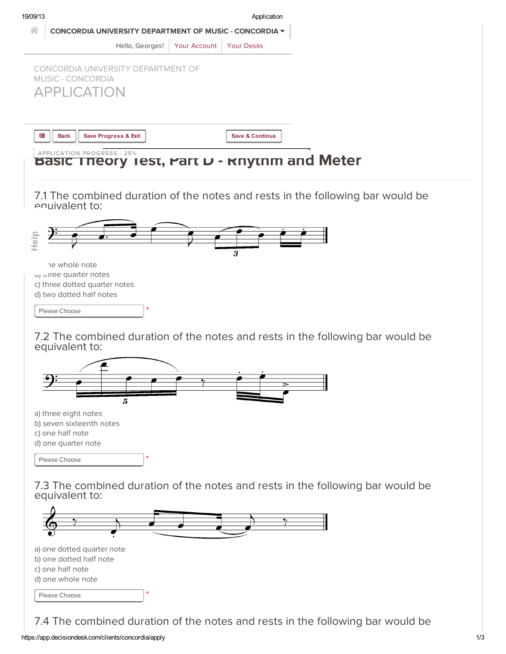

c) one half note d) one whole note

Please [Choose](javascript:void(0))

7.4 The combined duration of the notes and rests in the following bar would be

\*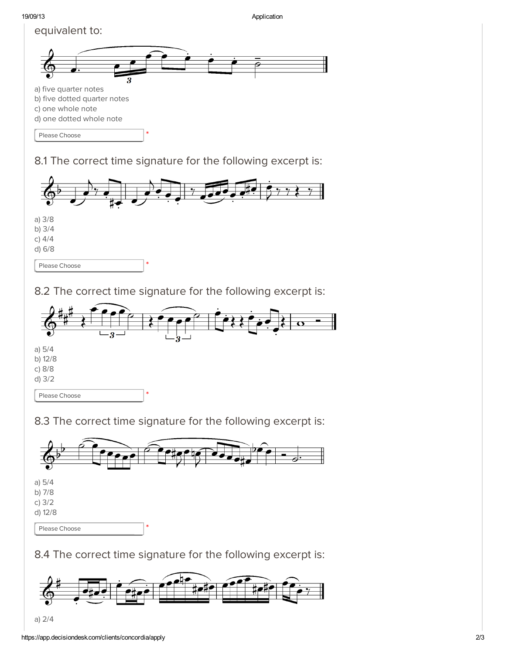